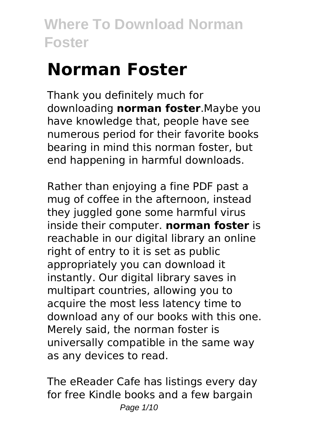# **Norman Foster**

Thank you definitely much for downloading **norman foster**.Maybe you have knowledge that, people have see numerous period for their favorite books bearing in mind this norman foster, but end happening in harmful downloads.

Rather than enjoying a fine PDF past a mug of coffee in the afternoon, instead they juggled gone some harmful virus inside their computer. **norman foster** is reachable in our digital library an online right of entry to it is set as public appropriately you can download it instantly. Our digital library saves in multipart countries, allowing you to acquire the most less latency time to download any of our books with this one. Merely said, the norman foster is universally compatible in the same way as any devices to read.

The eReader Cafe has listings every day for free Kindle books and a few bargain Page 1/10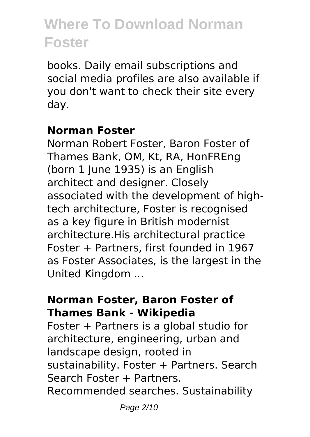books. Daily email subscriptions and social media profiles are also available if you don't want to check their site every day.

#### **Norman Foster**

Norman Robert Foster, Baron Foster of Thames Bank, OM, Kt, RA, HonFREng (born 1 June 1935) is an English architect and designer. Closely associated with the development of hightech architecture, Foster is recognised as a key figure in British modernist architecture.His architectural practice Foster + Partners, first founded in 1967 as Foster Associates, is the largest in the United Kingdom ...

#### **Norman Foster, Baron Foster of Thames Bank - Wikipedia**

Foster + Partners is a global studio for architecture, engineering, urban and landscape design, rooted in sustainability. Foster + Partners. Search Search Foster + Partners. Recommended searches. Sustainability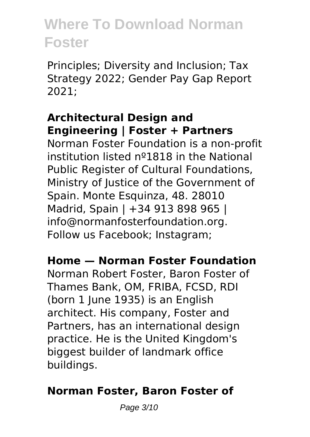Principles; Diversity and Inclusion; Tax Strategy 2022; Gender Pay Gap Report 2021;

### **Architectural Design and Engineering | Foster + Partners**

Norman Foster Foundation is a non-profit institution listed nº1818 in the National Public Register of Cultural Foundations, Ministry of Justice of the Government of Spain. Monte Esquinza, 48. 28010 Madrid, Spain | +34 913 898 965 | info@normanfosterfoundation.org. Follow us Facebook; Instagram;

#### **Home — Norman Foster Foundation**

Norman Robert Foster, Baron Foster of Thames Bank, OM, FRIBA, FCSD, RDI (born 1 June 1935) is an English architect. His company, Foster and Partners, has an international design practice. He is the United Kingdom's biggest builder of landmark office buildings.

### **Norman Foster, Baron Foster of**

Page 3/10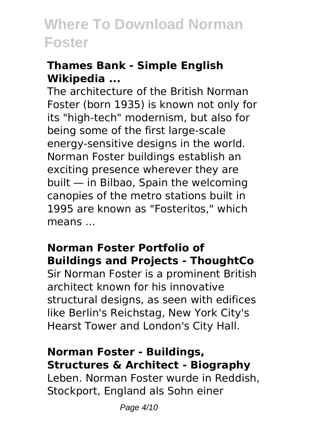### **Thames Bank - Simple English Wikipedia ...**

The architecture of the British Norman Foster (born 1935) is known not only for its "high-tech" modernism, but also for being some of the first large-scale energy-sensitive designs in the world. Norman Foster buildings establish an exciting presence wherever they are built — in Bilbao, Spain the welcoming canopies of the metro stations built in 1995 are known as "Fosteritos," which means ...

### **Norman Foster Portfolio of Buildings and Projects - ThoughtCo**

Sir Norman Foster is a prominent British architect known for his innovative structural designs, as seen with edifices like Berlin's Reichstag, New York City's Hearst Tower and London's City Hall.

### **Norman Foster - Buildings, Structures & Architect - Biography**

Leben. Norman Foster wurde in Reddish, Stockport, England als Sohn einer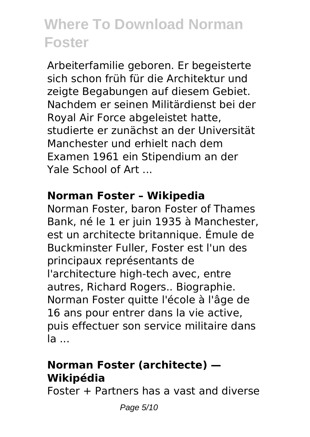Arbeiterfamilie geboren. Er begeisterte sich schon früh für die Architektur und zeigte Begabungen auf diesem Gebiet. Nachdem er seinen Militärdienst bei der Royal Air Force abgeleistet hatte, studierte er zunächst an der Universität Manchester und erhielt nach dem Examen 1961 ein Stipendium an der Yale School of Art ...

### **Norman Foster – Wikipedia**

Norman Foster, baron Foster of Thames Bank, né le 1 er juin 1935 à Manchester, est un architecte britannique. Émule de Buckminster Fuller, Foster est l'un des principaux représentants de l'architecture high-tech avec, entre autres, Richard Rogers.. Biographie. Norman Foster quitte l'école à l'âge de 16 ans pour entrer dans la vie active, puis effectuer son service militaire dans la ...

### **Norman Foster (architecte) — Wikipédia**

Foster + Partners has a vast and diverse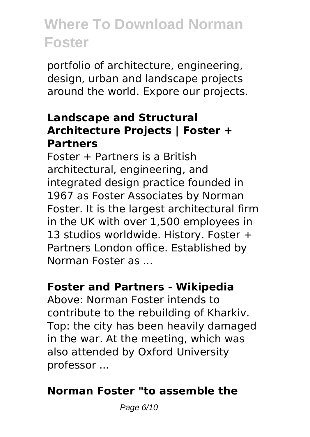portfolio of architecture, engineering, design, urban and landscape projects around the world. Expore our projects.

### **Landscape and Structural Architecture Projects | Foster + Partners**

 $Factor +$  Partners is a British architectural, engineering, and integrated design practice founded in 1967 as Foster Associates by Norman Foster. It is the largest architectural firm in the UK with over 1,500 employees in 13 studios worldwide. History. Foster + Partners London office. Established by Norman Foster as ...

### **Foster and Partners - Wikipedia**

Above: Norman Foster intends to contribute to the rebuilding of Kharkiv. Top: the city has been heavily damaged in the war. At the meeting, which was also attended by Oxford University professor ...

### **Norman Foster "to assemble the**

Page 6/10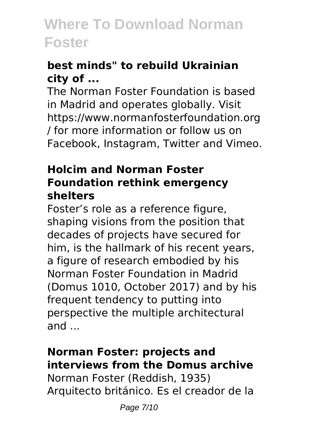### **best minds" to rebuild Ukrainian city of ...**

The Norman Foster Foundation is based in Madrid and operates globally. Visit https://www.normanfosterfoundation.org / for more information or follow us on Facebook, Instagram, Twitter and Vimeo.

#### **Holcim and Norman Foster Foundation rethink emergency shelters**

Foster's role as a reference figure, shaping visions from the position that decades of projects have secured for him, is the hallmark of his recent years, a figure of research embodied by his Norman Foster Foundation in Madrid (Domus 1010, October 2017) and by his frequent tendency to putting into perspective the multiple architectural and ...

#### **Norman Foster: projects and interviews from the Domus archive**

Norman Foster (Reddish, 1935) Arquitecto británico. Es el creador de la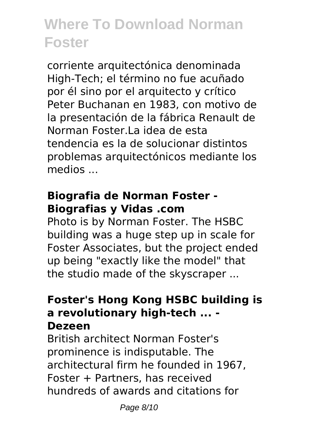corriente arquitectónica denominada High-Tech; el término no fue acuñado por él sino por el arquitecto y crítico Peter Buchanan en 1983, con motivo de la presentación de la fábrica Renault de Norman Foster La idea de esta tendencia es la de solucionar distintos problemas arquitectónicos mediante los medios ...

### **Biografia de Norman Foster - Biografias y Vidas .com**

Photo is by Norman Foster. The HSBC building was a huge step up in scale for Foster Associates, but the project ended up being "exactly like the model" that the studio made of the skyscraper ...

#### **Foster's Hong Kong HSBC building is a revolutionary high-tech ... - Dezeen**

British architect Norman Foster's prominence is indisputable. The architectural firm he founded in 1967, Foster + Partners, has received hundreds of awards and citations for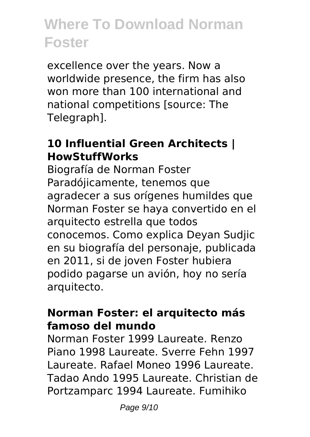excellence over the years. Now a worldwide presence, the firm has also won more than 100 international and national competitions [source: The Telegraph].

### **10 Influential Green Architects | HowStuffWorks**

Biografía de Norman Foster Paradójicamente, tenemos que agradecer a sus orígenes humildes que Norman Foster se haya convertido en el arquitecto estrella que todos conocemos. Como explica Deyan Sudjic en su biografía del personaje, publicada en 2011, si de joven Foster hubiera podido pagarse un avión, hoy no sería arquitecto.

#### **Norman Foster: el arquitecto más famoso del mundo**

Norman Foster 1999 Laureate. Renzo Piano 1998 Laureate. Sverre Fehn 1997 Laureate. Rafael Moneo 1996 Laureate. Tadao Ando 1995 Laureate. Christian de Portzamparc 1994 Laureate. Fumihiko